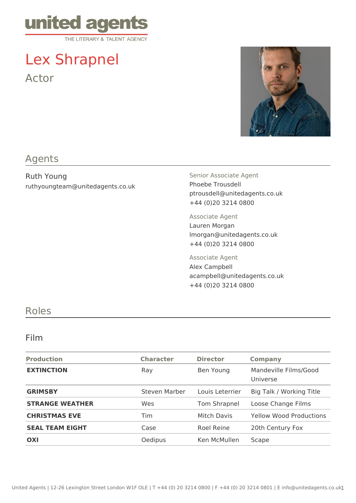

# Lex Shrapnel Actor



## Agents

Ruth Young ruthyoungteam@unitedagents.co.uk Senior Associate Agent Phoebe Trousdell ptrousdell@unitedagents.co.uk +44 (0)20 3214 0800

Associate Agent Lauren Morgan lmorgan@unitedagents.co.uk +44 (0)20 3214 0800

Associate Agent Alex Campbell acampbell@unitedagents.co.uk +44 (0)20 3214 0800

### Roles

#### Film

| <b>Production</b>      | <b>Character</b> | <b>Director</b> | <b>Company</b>                    |
|------------------------|------------------|-----------------|-----------------------------------|
| <b>EXTINCTION</b>      | Ray              | Ben Young       | Mandeville Films/Good<br>Universe |
| <b>GRIMSBY</b>         | Steven Marber    | Louis Leterrier | Big Talk / Working Title          |
| <b>STRANGE WEATHER</b> | Wes              | Tom Shrapnel    | Loose Change Films                |
| <b>CHRISTMAS EVE</b>   | Tim              | Mitch Davis     | <b>Yellow Wood Productions</b>    |
| <b>SEAL TEAM EIGHT</b> | Case             | Roel Reine      | 20th Century Fox                  |
| OXI                    | Oedipus          | Ken McMullen    | Scape                             |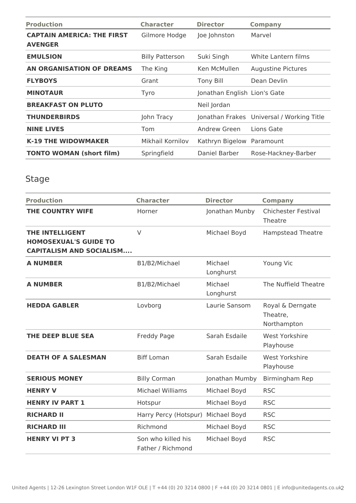| <b>Production</b>                                   | <b>Character</b>       | <b>Director</b>              | <b>Company</b>                            |
|-----------------------------------------------------|------------------------|------------------------------|-------------------------------------------|
| <b>CAPTAIN AMERICA: THE FIRST</b><br><b>AVENGER</b> | Gilmore Hodge          | Joe Johnston                 | Marvel                                    |
| <b>EMULSION</b>                                     | <b>Billy Patterson</b> | Suki Singh                   | White Lantern films                       |
| AN ORGANISATION OF DREAMS                           | The King               | Ken McMullen                 | Augustine Pictures                        |
| <b>FLYBOYS</b>                                      | Grant                  | <b>Tony Bill</b>             | Dean Devlin                               |
| <b>MINOTAUR</b>                                     | Tyro                   | Jonathan English Lion's Gate |                                           |
| <b>BREAKFAST ON PLUTO</b>                           |                        | Neil Jordan                  |                                           |
| <b>THUNDERBIRDS</b>                                 | John Tracy             |                              | Jonathan Frakes Universal / Working Title |
| <b>NINE LIVES</b>                                   | Tom                    | Andrew Green                 | Lions Gate                                |
| <b>K-19 THE WIDOWMAKER</b>                          | Mikhail Kornilov       | Kathryn Bigelow Paramount    |                                           |
| <b>TONTO WOMAN (short film)</b>                     | Springfield            | Daniel Barber                | Rose-Hackney-Barber                       |

# Stage

| <b>Production</b>                                                                         | <b>Character</b>                        | <b>Director</b>      | <b>Company</b>                              |
|-------------------------------------------------------------------------------------------|-----------------------------------------|----------------------|---------------------------------------------|
| <b>THE COUNTRY WIFE</b>                                                                   | Horner                                  | Jonathan Munby       | <b>Chichester Festival</b><br>Theatre       |
| <b>THE INTELLIGENT</b><br><b>HOMOSEXUAL'S GUIDE TO</b><br><b>CAPITALISM AND SOCIALISM</b> | $\vee$                                  | Michael Boyd         | <b>Hampstead Theatre</b>                    |
| <b>A NUMBER</b>                                                                           | B1/B2/Michael                           | Michael<br>Longhurst | Young Vic                                   |
| <b>A NUMBER</b>                                                                           | B1/B2/Michael                           | Michael<br>Longhurst | The Nuffield Theatre                        |
| <b>HEDDA GABLER</b>                                                                       | Lovborg                                 | Laurie Sansom        | Royal & Derngate<br>Theatre,<br>Northampton |
| <b>THE DEEP BLUE SEA</b>                                                                  | Freddy Page                             | Sarah Esdaile        | West Yorkshire<br>Playhouse                 |
| <b>DEATH OF A SALESMAN</b>                                                                | <b>Biff Loman</b>                       | Sarah Esdaile        | <b>West Yorkshire</b><br>Playhouse          |
| <b>SERIOUS MONEY</b>                                                                      | <b>Billy Corman</b>                     | Jonathan Mumby       | Birmingham Rep                              |
| <b>HENRY V</b>                                                                            | <b>Michael Williams</b>                 | Michael Boyd         | <b>RSC</b>                                  |
| <b>HENRY IV PART 1</b>                                                                    | Hotspur                                 | Michael Boyd         | <b>RSC</b>                                  |
| <b>RICHARD II</b>                                                                         | Harry Percy (Hotspur)                   | Michael Boyd         | <b>RSC</b>                                  |
| <b>RICHARD III</b>                                                                        | Richmond                                | Michael Boyd         | <b>RSC</b>                                  |
| <b>HENRY VI PT 3</b>                                                                      | Son who killed his<br>Father / Richmond | Michael Boyd         | <b>RSC</b>                                  |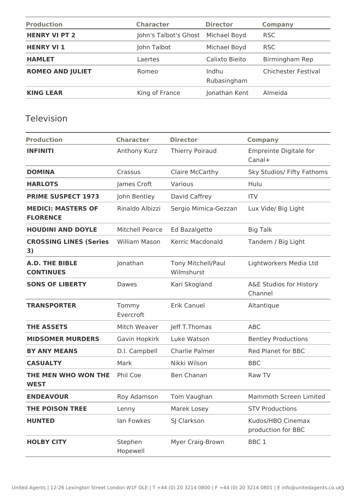| <b>Production</b>       | <b>Character</b>      | <b>Director</b>      | <b>Company</b>             |
|-------------------------|-----------------------|----------------------|----------------------------|
| <b>HENRY VI PT 2</b>    | John's Talbot's Ghost | Michael Boyd         | <b>RSC</b>                 |
| <b>HENRY VI 1</b>       | John Talbot           | Michael Boyd         | <b>RSC</b>                 |
| <b>HAMLET</b>           | Laertes               | Calixto Bieito       | Birmingham Rep             |
| <b>ROMEO AND JULIET</b> | Romeo                 | Indhu<br>Rubasingham | <b>Chichester Festival</b> |
| <b>KING LEAR</b>        | King of France        | Jonathan Kent        | Almeida                    |

# Television

| <b>Production</b>                            | <b>Character</b>       | <b>Director</b>                  | <b>Company</b>                          |
|----------------------------------------------|------------------------|----------------------------------|-----------------------------------------|
| <b>INFINITI</b>                              | Anthony Kurz           | <b>Thierry Poiraud</b>           | <b>Empreinte Digitale for</b><br>Canal+ |
| <b>DOMINA</b>                                | Crassus                | Claire McCarthy                  | Sky Studios/ Fifty Fathoms              |
| <b>HARLOTS</b>                               | James Croft            | Various                          | Hulu                                    |
| <b>PRIME SUSPECT 1973</b>                    | John Bentley           | David Caffrey                    | <b>ITV</b>                              |
| <b>MEDICI: MASTERS OF</b><br><b>FLORENCE</b> | Rinaldo Albizzi        | Sergio Mimica-Gezzan             | Lux Vide/ Big Light                     |
| <b>HOUDINI AND DOYLE</b>                     | <b>Mitchell Pearce</b> | <b>Ed Bazalgette</b>             | <b>Big Talk</b>                         |
| <b>CROSSING LINES (Series</b><br>3)          | <b>William Mason</b>   | Kerric Macdonald                 | Tandem / Big Light                      |
| <b>A.D. THE BIBLE</b><br><b>CONTINUES</b>    | Jonathan               | Tony Mitchell/Paul<br>Wilmshurst | Lightworkers Media Ltd                  |
| <b>SONS OF LIBERTY</b>                       | Dawes                  | Kari Skogland                    | A&E Studios for History<br>Channel      |
| <b>TRANSPORTER</b>                           | Tommy<br>Evercroft     | <b>Erik Canuel</b>               | Altantique                              |
| <b>THE ASSETS</b>                            | Mitch Weaver           | Jeff T.Thomas                    | <b>ABC</b>                              |
| <b>MIDSOMER MURDERS</b>                      | Gavin Hopkirk          | Luke Watson                      | <b>Bentley Productions</b>              |
| <b>BY ANY MEANS</b>                          | D.I. Campbell          | Charlie Palmer                   | Red Planet for BBC                      |
| <b>CASUALTY</b>                              | Mark                   | Nikki Wilson                     | <b>BBC</b>                              |
| THE MEN WHO WON THE<br><b>WEST</b>           | Phil Coe               | <b>Ben Chanan</b>                | Raw TV                                  |
| <b>ENDEAVOUR</b>                             | Roy Adamson            | Tom Vaughan                      | Mammoth Screen Limited                  |
| <b>THE POISON TREE</b>                       | Lenny                  | Marek Losey                      | <b>STV Productions</b>                  |
| <b>HUNTED</b>                                | lan Fowkes             | SJ Clarkson                      | Kudos/HBO Cinemax<br>production for BBC |
| <b>HOLBY CITY</b>                            | Stephen<br>Hopewell    | Myer Craig-Brown                 | BBC <sub>1</sub>                        |